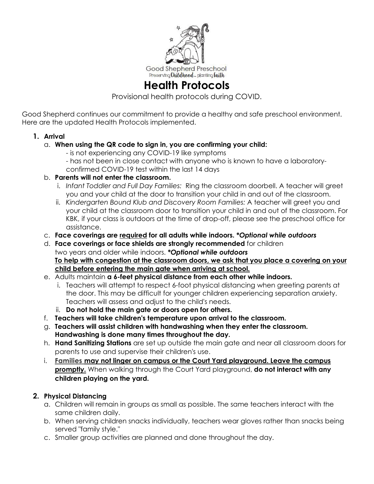

# **Health Protocols**

Provisional health protocols during COVID.

Good Shepherd continues our commitment to provide a healthy and safe preschool environment. Here are the updated Health Protocols implemented.

- **1. Arrival**
	- a. **When using the QR code to sign in, you are confirming your child:** 
		- is not experiencing any COVID-19 like symptoms - has not been in close contact with anyone who is known to have a laboratoryconfirmed COVID-19 test within the last 14 days
	- b. **Parents will not enter the classroom.**
		- i. *Infant Toddler and Full Day Families:* Ring the classroom doorbell. A teacher will greet you and your child at the door to transition your child in and out of the classroom.
		- ii. *Kindergarten Bound Klub and Discovery Room Families:* A teacher will greet you and your child at the classroom door to transition your child in and out of the classroom. For KBK, if your class is outdoors at the time of drop-off, please see the preschool office for assistance.
	- c. **Face coverings are required for all adults while indoors.** *\*Optional while outdoors*
	- d. **Face coverings or face shields are strongly recommended** for children two years and older while indoors. *\*Optional while outdoors* **To help with congestion at the classroom doors, we ask that you place a covering on your child before entering the main gate when arriving at school.**
	- e. Adults maintain **a 6-feet physical distance from each other while indoors.** 
		- i. Teachers will attempt to respect 6-foot physical distancing when greeting parents at the door. This may be difficult for younger children experiencing separation anxiety. Teachers will assess and adjust to the child's needs.
		- ii. **Do not hold the main gate or doors open for others.**
	- f. **Teachers will take children's temperature upon arrival to the classroom.**
	- g. **Teachers will assist children with handwashing when they enter the classroom. Handwashing is done many times throughout the day.**
	- h. **Hand Sanitizing Stations** are set up outside the main gate and near all classroom doors for parents to use and supervise their children's use.
	- i. **Families may not linger on campus or the Court Yard playground. Leave the campus promptly.** When walking through the Court Yard playground, **do not interact with any children playing on the yard.**

## **2. Physical Distancing**

- a. Children will remain in groups as small as possible. The same teachers interact with the same children daily.
- b. When serving children snacks individually, teachers wear gloves rather than snacks being served "family style."
- c. Smaller group activities are planned and done throughout the day.